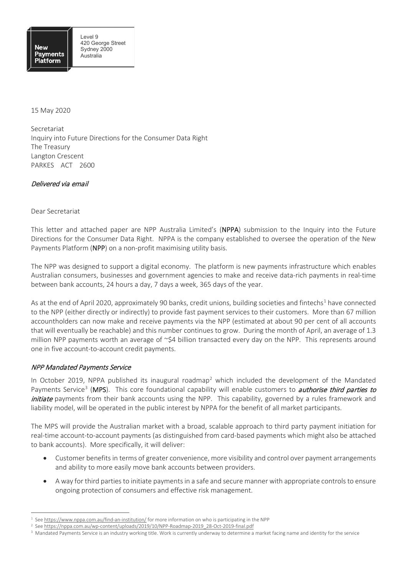15 May 2020

Secretariat Inquiry into Future Directions for the Consumer Data Right The Treasury Langton Crescent PARKES ACT 2600

#### Delivered via email

#### Dear Secretariat

This letter and attached paper are NPP Australia Limited's (NPPA) submission to the Inquiry into the Future Directions for the Consumer Data Right. NPPA is the company established to oversee the operation of the New Payments Platform (NPP) on a non-profit maximising utility basis.

The NPP was designed to support a digital economy. The platform is new payments infrastructure which enables Australian consumers, businesses and government agencies to make and receive data-rich payments in real-time between bank accounts, 24 hours a day, 7 days a week, 365 days of the year.

As at the end of April 2020, approximately 90 banks, credit unions, building societies and fintechs<sup>[1](#page-0-0)</sup> have connected to the NPP (either directly or indirectly) to provide fast payment services to their customers. More than 67 million accountholders can now make and receive payments via the NPP (estimated at about 90 per cent of all accounts that will eventually be reachable) and this number continues to grow. During the month of April, an average of 1.3 million NPP payments worth an average of ~\$4 billion transacted every day on the NPP. This represents around one in five account-to-account credit payments.

## NPP Mandated Payments Service

In October [2](#page-0-1)019, NPPA published its inaugural roadmap<sup>2</sup> which included the development of the Mandated Payments Service<sup>[3](#page-0-2)</sup> (MPS). This core foundational capability will enable customers to *authorise third parties to* initiate payments from their bank accounts using the NPP. This capability, governed by a rules framework and liability model, will be operated in the public interest by NPPA for the benefit of all market participants.

The MPS will provide the Australian market with a broad, scalable approach to third party payment initiation for real-time account-to-account payments (as distinguished from card-based payments which might also be attached to bank accounts). More specifically, it will deliver:

- Customer benefits in terms of greater convenience, more visibility and control over payment arrangements and ability to more easily move bank accounts between providers.
- A way for third parties to initiate payments in a safe and secure manner with appropriate controls to ensure ongoing protection of consumers and effective risk management.

<span id="page-0-0"></span> $1$  Se[e https://www.nppa.com.au/find-an-institution/](https://www.nppa.com.au/find-an-institution/) for more information on who is participating in the NPP

<span id="page-0-1"></span><sup>&</sup>lt;sup>2</sup> See [https://nppa.com.au/wp-content/uploads/2019/10/NPP-Roadmap-2019\\_28-Oct-2019-final.pdf](https://nppa.com.au/wp-content/uploads/2019/10/NPP-Roadmap-2019_28-Oct-2019-final.pdf)

<span id="page-0-2"></span><sup>&</sup>lt;sup>3</sup> Mandated Payments Service is an industry working title. Work is currently underway to determine a market facing name and identity for the service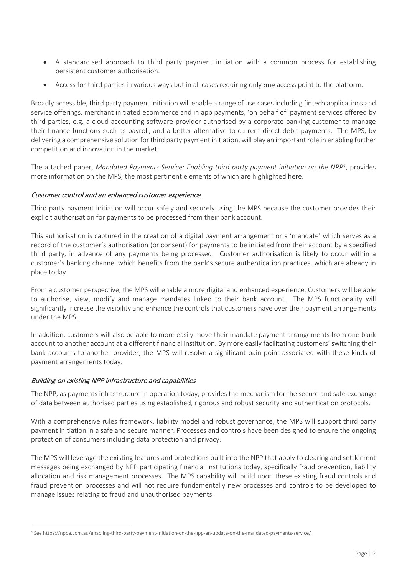- A standardised approach to third party payment initiation with a common process for establishing persistent customer authorisation.
- Access for third parties in various ways but in all cases requiring only one access point to the platform.

Broadly accessible, third party payment initiation will enable a range of use cases including fintech applications and service offerings, merchant initiated ecommerce and in app payments, 'on behalf of' payment services offered by third parties, e.g. a cloud accounting software provider authorised by a corporate banking customer to manage their finance functions such as payroll, and a better alternative to current direct debit payments. The MPS, by delivering a comprehensive solution for third party payment initiation, will play an important role in enabling further competition and innovation in the market.

The attached paper, *Mandated Payments Service: Enabling third party payment initiation on the NPP[4](#page-1-0)* , provides more information on the MPS, the most pertinent elements of which are highlighted here.

## Customer control and an enhanced customer experience

Third party payment initiation will occur safely and securely using the MPS because the customer provides their explicit authorisation for payments to be processed from their bank account.

This authorisation is captured in the creation of a digital payment arrangement or a 'mandate' which serves as a record of the customer's authorisation (or consent) for payments to be initiated from their account by a specified third party, in advance of any payments being processed. Customer authorisation is likely to occur within a customer's banking channel which benefits from the bank's secure authentication practices, which are already in place today.

From a customer perspective, the MPS will enable a more digital and enhanced experience. Customers will be able to authorise, view, modify and manage mandates linked to their bank account. The MPS functionality will significantly increase the visibility and enhance the controls that customers have over their payment arrangements under the MPS.

In addition, customers will also be able to more easily move their mandate payment arrangements from one bank account to another account at a different financial institution. By more easily facilitating customers' switching their bank accounts to another provider, the MPS will resolve a significant pain point associated with these kinds of payment arrangements today.

## Building on existing NPP infrastructure and capabilities

The NPP, as payments infrastructure in operation today, provides the mechanism for the secure and safe exchange of data between authorised parties using established, rigorous and robust security and authentication protocols.

With a comprehensive rules framework, liability model and robust governance, the MPS will support third party payment initiation in a safe and secure manner. Processes and controls have been designed to ensure the ongoing protection of consumers including data protection and privacy.

The MPS will leverage the existing features and protections built into the NPP that apply to clearing and settlement messages being exchanged by NPP participating financial institutions today, specifically fraud prevention, liability allocation and risk management processes. The MPS capability will build upon these existing fraud controls and fraud prevention processes and will not require fundamentally new processes and controls to be developed to manage issues relating to fraud and unauthorised payments.

<span id="page-1-0"></span><sup>4</sup> Se[e https://nppa.com.au/enabling-third-party-payment-initiation-on-the-npp-an-update-on-the-mandated-payments-service/](https://nppa.com.au/enabling-third-party-payment-initiation-on-the-npp-an-update-on-the-mandated-payments-service/)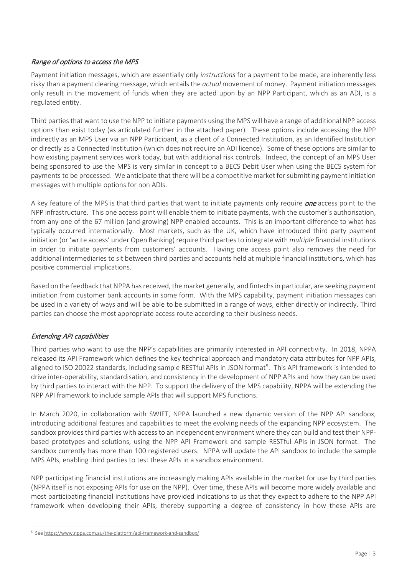# Range of options to access the MPS

Payment initiation messages, which are essentially only *instructions* for a payment to be made, are inherently less risky than a payment clearing message, which entails the *actual* movement of money. Payment initiation messages only result in the movement of funds when they are acted upon by an NPP Participant, which as an ADI, is a regulated entity.

Third parties that want to use the NPP to initiate payments using the MPS will have a range of additional NPP access options than exist today (as articulated further in the attached paper)*.* These options include accessing the NPP indirectly as an MPS User via an NPP Participant, as a client of a Connected Institution, as an Identified Institution or directly as a Connected Institution (which does not require an ADI licence). Some of these options are similar to how existing payment services work today, but with additional risk controls. Indeed, the concept of an MPS User being sponsored to use the MPS is very similar in concept to a BECS Debit User when using the BECS system for payments to be processed. We anticipate that there will be a competitive market for submitting payment initiation messages with multiple options for non ADIs.

A key feature of the MPS is that third parties that want to initiate payments only require *one* access point to the NPP infrastructure. This one access point will enable them to initiate payments, with the customer's authorisation, from any one of the 67 million (and growing) NPP enabled accounts. This is an important difference to what has typically occurred internationally. Most markets, such as the UK, which have introduced third party payment initiation (or 'write access' under Open Banking) require third parties to integrate with *multiple* financial institutions in order to initiate payments from customers' accounts. Having one access point also removes the need for additional intermediaries to sit between third parties and accounts held at multiple financial institutions, which has positive commercial implications.

Based on the feedback that NPPA has received, the market generally, and fintechs in particular, are seeking payment initiation from customer bank accounts in some form. With the MPS capability, payment initiation messages can be used in a variety of ways and will be able to be submitted in a range of ways, either directly or indirectly. Third parties can choose the most appropriate access route according to their business needs.

# Extending API capabilities

Third parties who want to use the NPP's capabilities are primarily interested in API connectivity. In 2018, NPPA released its API Framework which defines the key technical approach and mandatory data attributes for NPP APIs, aligned to ISO 20022 standards, including sample RESTful APIs in JSON format<sup>[5](#page-2-0)</sup>. This API framework is intended to drive inter-operability, standardisation, and consistency in the development of NPP APIs and how they can be used by third parties to interact with the NPP. To support the delivery of the MPS capability, NPPA will be extending the NPP API framework to include sample APIs that will support MPS functions.

In March 2020, in collaboration with SWIFT, NPPA launched a new dynamic version of the NPP API sandbox, introducing additional features and capabilities to meet the evolving needs of the expanding NPP ecosystem. The sandbox provides third parties with access to an independent environment where they can build and test their NPPbased prototypes and solutions, using the NPP API Framework and sample RESTful APIs in JSON format. The sandbox currently has more than 100 registered users. NPPA will update the API sandbox to include the sample MPS APIs, enabling third parties to test these APIs in a sandbox environment.

NPP participating financial institutions are increasingly making APIs available in the market for use by third parties (NPPA itself is not exposing APIs for use on the NPP). Over time, these APIs will become more widely available and most participating financial institutions have provided indications to us that they expect to adhere to the NPP API framework when developing their APIs, thereby supporting a degree of consistency in how these APIs are

<span id="page-2-0"></span><sup>5</sup> Se[e https://www.nppa.com.au/the-platform/api-framework-and-sandbox/](https://www.nppa.com.au/the-platform/api-framework-and-sandbox/)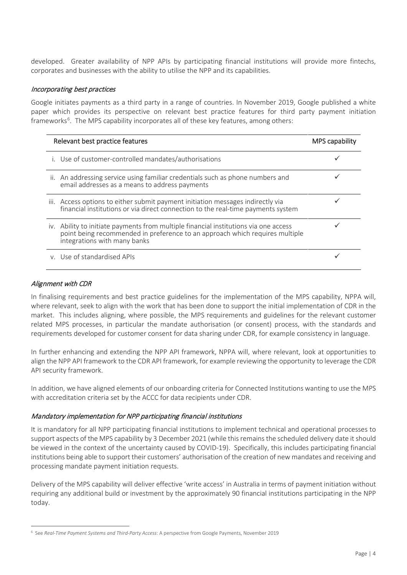developed. Greater availability of NPP APIs by participating financial institutions will provide more fintechs, corporates and businesses with the ability to utilise the NPP and its capabilities.

### Incorporating best practices

Google initiates payments as a third party in a range of countries. In November 2019, Google published a white paper which provides its perspective on relevant best practice features for third party payment initiation frameworks<sup>[6](#page-3-0)</sup>. The MPS capability incorporates all of these key features, among others:

| Relevant best practice features                                                                                                                                                                      | <b>MPS capability</b> |
|------------------------------------------------------------------------------------------------------------------------------------------------------------------------------------------------------|-----------------------|
| i. Use of customer-controlled mandates/authorisations                                                                                                                                                |                       |
| ii. An addressing service using familiar credentials such as phone numbers and<br>email addresses as a means to address payments                                                                     |                       |
| iii. Access options to either submit payment initiation messages indirectly via<br>financial institutions or via direct connection to the real-time payments system                                  |                       |
| iv. Ability to initiate payments from multiple financial institutions via one access<br>point being recommended in preference to an approach which requires multiple<br>integrations with many banks |                       |
| y. Use of standardised APIs                                                                                                                                                                          |                       |

### Alignment with CDR

In finalising requirements and best practice guidelines for the implementation of the MPS capability, NPPA will, where relevant, seek to align with the work that has been done to support the initial implementation of CDR in the market. This includes aligning, where possible, the MPS requirements and guidelines for the relevant customer related MPS processes, in particular the mandate authorisation (or consent) process, with the standards and requirements developed for customer consent for data sharing under CDR, for example consistency in language.

In further enhancing and extending the NPP API framework, NPPA will, where relevant, look at opportunities to align the NPP API framework to the CDR API framework, for example reviewing the opportunity to leverage the CDR API security framework.

In addition, we have aligned elements of our onboarding criteria for Connected Institutions wanting to use the MPS with accreditation criteria set by the ACCC for data recipients under CDR.

#### Mandatory implementation for NPP participating financial institutions

It is mandatory for all NPP participating financial institutions to implement technical and operational processes to support aspects of the MPS capability by 3 December 2021 (while this remains the scheduled delivery date it should be viewed in the context of the uncertainty caused by COVID-19). Specifically, this includes participating financial institutions being able to support their customers' authorisation of the creation of new mandates and receiving and processing mandate payment initiation requests.

Delivery of the MPS capability will deliver effective 'write access' in Australia in terms of payment initiation without requiring any additional build or investment by the approximately 90 financial institutions participating in the NPP today.

<span id="page-3-0"></span><sup>6</sup> See *Real-Time Payment Systems and Third-Party Access*: A perspective from Google Payments, November 2019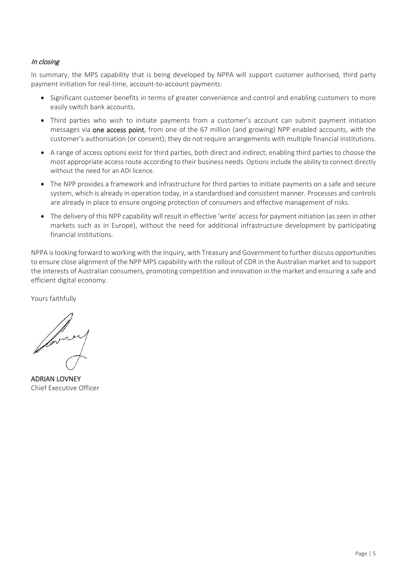# In closing

In summary, the MPS capability that is being developed by NPPA will support customer authorised, third party payment initiation for real-time, account-to-account payments:

- Significant customer benefits in terms of greater convenience and control and enabling customers to more easily switch bank accounts.
- Third parties who wish to initiate payments from a customer's account can submit payment initiation messages via one access point, from one of the 67 million (and growing) NPP enabled accounts, with the customer's authorisation (or consent); they do not require arrangements with multiple financial institutions.
- A range of access options exist for third parties, both direct and indirect, enabling third parties to choose the most appropriate access route according to their business needs. Options include the ability to connect directly without the need for an ADI licence.
- The NPP provides a framework and infrastructure for third parties to initiate payments on a safe and secure system, which is already in operation today, in a standardised and consistent manner. Processes and controls are already in place to ensure ongoing protection of consumers and effective management of risks.
- The delivery of this NPP capability will result in effective 'write' access for payment initiation (as seen in other markets such as in Europe), without the need for additional infrastructure development by participating financial institutions.

NPPA is looking forward to workingwith the Inquiry, with Treasury and Government to further discuss opportunities to ensure close alignment of the NPP MPS capability with the rollout of CDR in the Australian market and to support the interests of Australian consumers, promoting competition and innovation in the market and ensuring a safe and efficient digital economy.

Yours faithfully

former

ADRIAN LOVNEY Chief Executive Officer